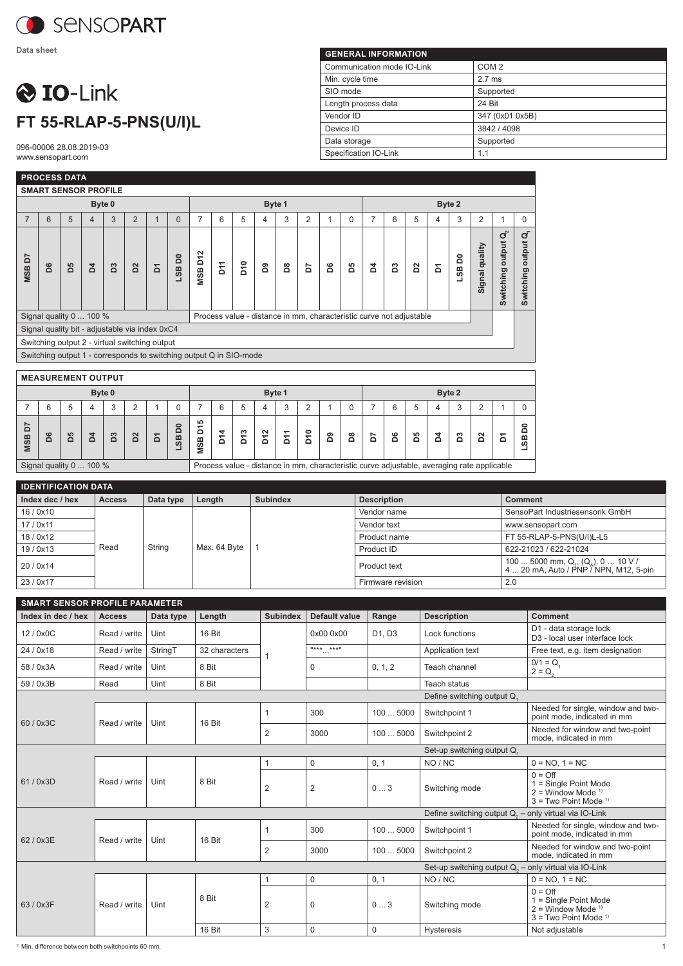

**Data sheet**

## **O** IO-Link **FT 55-RLAP-5-PNS(U/I)L**

096-00006 28.08.2019-03 www.sensopart.com

| <b>GENERAL INFORMATION</b> |                  |  |  |  |  |  |  |  |  |
|----------------------------|------------------|--|--|--|--|--|--|--|--|
| Communication mode IO-Link | COM <sub>2</sub> |  |  |  |  |  |  |  |  |
| Min. cycle time            | $2.7$ ms         |  |  |  |  |  |  |  |  |
| SIO mode                   | Supported        |  |  |  |  |  |  |  |  |
| Length process data        | 24 Bit           |  |  |  |  |  |  |  |  |
| Vendor ID                  | 347 (0x01 0x5B)  |  |  |  |  |  |  |  |  |
| Device ID                  | 3842 / 4098      |  |  |  |  |  |  |  |  |
| Data storage               | Supported        |  |  |  |  |  |  |  |  |
| Specification IO-Link      | 1.1              |  |  |  |  |  |  |  |  |

|                                                                    |    | <b>PROCESS DATA</b>         |                |    |                                                |             |          |                                      |     |                 |                                                                     |   |                |   |          |   |   |             |   |        |                   |                                    |                                       |
|--------------------------------------------------------------------|----|-----------------------------|----------------|----|------------------------------------------------|-------------|----------|--------------------------------------|-----|-----------------|---------------------------------------------------------------------|---|----------------|---|----------|---|---|-------------|---|--------|-------------------|------------------------------------|---------------------------------------|
|                                                                    |    | <b>SMART SENSOR PROFILE</b> |                |    |                                                |             |          |                                      |     |                 |                                                                     |   |                |   |          |   |   |             |   |        |                   |                                    |                                       |
| Byte 0                                                             |    |                             |                |    |                                                |             |          | Byte 1                               |     |                 |                                                                     |   |                |   | Byte 2   |   |   |             |   |        |                   |                                    |                                       |
| 7                                                                  | 6  | 5                           | $\overline{4}$ | 3  | $\overline{2}$                                 | $\mathbf 1$ | $\Omega$ | 7                                    | 6   | 5               | 4                                                                   | 3 | $\overline{2}$ |   | $\Omega$ | 7 | 6 | 5           | 4 | 3      | 2                 | 1                                  | $\Omega$                              |
| 5<br><b>MSB</b>                                                    | D6 | Ρp                          | ă              | B3 | $\mathbf{D}^2$                                 | Σ           | õ<br>9S  | $\mathbf{\Omega}$<br>Σ<br><b>MSB</b> | Σ'n | D <sub>10</sub> | 2                                                                   | ã | č              | å | δq       | ă | S | $\tilde{a}$ | δ | LSB D0 | quality<br>Signal | output $\mathbf{Q}_2$<br>Switching | $\overline{a}$<br>output<br>Switching |
|                                                                    |    | Signal quality 0  100 %     |                |    |                                                |             |          |                                      |     |                 | Process value - distance in mm, characteristic curve not adjustable |   |                |   |          |   |   |             |   |        |                   |                                    |                                       |
|                                                                    |    |                             |                |    | Signal quality bit - adjustable via index 0xC4 |             |          |                                      |     |                 |                                                                     |   |                |   |          |   |   |             |   |        |                   |                                    |                                       |
|                                                                    |    |                             |                |    | Switching output 2 - virtual switching output  |             |          |                                      |     |                 |                                                                     |   |                |   |          |   |   |             |   |        |                   |                                    |                                       |
| Switching output 1 - corresponds to switching output Q in SIO-mode |    |                             |                |    |                                                |             |          |                                      |     |                 |                                                                     |   |                |   |          |   |   |             |   |        |                   |                                    |                                       |
|                                                                    |    |                             |                |    |                                                |             |          |                                      |     |                 |                                                                     |   |                |   |          |   |   |             |   |        |                   |                                    |                                       |
| <b>MEASUREMENT OUTPUT</b>                                          |    |                             |                |    |                                                |             |          |                                      |     |                 |                                                                     |   |                |   |          |   |   |             |   |        |                   |                                    |                                       |
|                                                                    |    |                             |                |    |                                                |             |          |                                      |     |                 |                                                                     |   |                |   |          |   |   |             |   |        |                   |                                    |                                       |

| Byte 0                                                                                                                |   |           |        |        |             |          |              | Byte 1                    |        |        |             |                                                           |        | Byte 2 |               |        |        |        |   |        |        |   |   |
|-----------------------------------------------------------------------------------------------------------------------|---|-----------|--------|--------|-------------|----------|--------------|---------------------------|--------|--------|-------------|-----------------------------------------------------------|--------|--------|---------------|--------|--------|--------|---|--------|--------|---|---|
|                                                                                                                       |   |           |        |        | ົ           |          |              |                           |        |        |             | っ                                                         | ◠      |        |               |        | 6      |        |   |        |        |   |   |
| r<br>$\Omega$<br>MSB                                                                                                  | ശ | <b>LO</b> | ↽<br>≏ | S<br>۵ | $\sim$<br>۵ | $\Omega$ | 0<br>Ō<br>9S | 5<br>᠇<br>۵<br><b>MSB</b> | ₩<br>≏ | ო<br>o | $\sim$<br>≏ | $\overline{\phantom{0}}$<br>$\overline{\phantom{0}}$<br>≏ | ₽<br>≏ | ၜ<br>۵ | $\infty$<br>۵ | r<br>۵ | ဖ<br>۵ | ம<br>≏ | ◅ | ∾<br>≏ | N<br>≏ | ≏ | c |
| Signal quality 0  100 %<br>Process value - distance in mm, characteristic curve adjustable, averaging rate applicable |   |           |        |        |             |          |              |                           |        |        |             |                                                           |        |        |               |        |        |        |   |        |        |   |   |

| <b>IDENTIFICATION DATA</b> |               |           |              |                 |                    |                                                                             |  |  |  |  |
|----------------------------|---------------|-----------|--------------|-----------------|--------------------|-----------------------------------------------------------------------------|--|--|--|--|
| Index dec / hex            | <b>Access</b> | Data type | Length       | <b>Subindex</b> | <b>Description</b> | <b>Comment</b>                                                              |  |  |  |  |
| 16/0x10                    |               |           | Max. 64 Byte |                 | Vendor name        | SensoPart Industriesensorik GmbH                                            |  |  |  |  |
| 17/0x11                    |               |           |              |                 | Vendor text        | www.sensopart.com                                                           |  |  |  |  |
| 18/0x12                    |               |           |              |                 | Product name       | FT 55-RLAP-5-PNS(U/I)L-L5                                                   |  |  |  |  |
| 19/0x13                    | Read          | String    |              |                 | Product ID         | 622-21023 / 622-21024                                                       |  |  |  |  |
| 20/0x14                    |               |           |              |                 | Product text       | 100  5000 mm, Q,, (Q,), 0  10 V /<br>4  20 mA, Auto / PNP / NPN, M12, 5-pin |  |  |  |  |
| 23/0x17                    |               |           |              |                 | Firmware revision  | 2.0                                                                         |  |  |  |  |

| <b>SMART SENSOR PROFILE PARAMETER</b> |               |           |               |                 |                                        |             |                                                          |                                                                                                                    |  |  |  |
|---------------------------------------|---------------|-----------|---------------|-----------------|----------------------------------------|-------------|----------------------------------------------------------|--------------------------------------------------------------------------------------------------------------------|--|--|--|
| Index in dec / hex                    | <b>Access</b> | Data type | Length        | <b>Subindex</b> | <b>Default value</b>                   | Range       | <b>Description</b>                                       | <b>Comment</b>                                                                                                     |  |  |  |
| 12 / 0x0C                             | Read / write  | Uint      | 16 Bit        |                 | 0x000x00                               | D1, D3      | Lock functions                                           | D1 - data storage lock<br>D <sub>3</sub> - local user interface lock                                               |  |  |  |
| 24 / 0x18                             | Read / write  | StringT   | 32 characters |                 | **** ****<br>$\cdots$                  |             | Application text                                         | Free text, e.g. item designation                                                                                   |  |  |  |
| 58 / 0x3A                             | Read / write  | Uint      | 8 Bit         |                 |                                        | 0, 1, 2     | Teach channel                                            | $0/1 = Q$<br>$2 = Q_{0}$                                                                                           |  |  |  |
| 59 / 0x3B                             | Read          | Uint      | 8 Bit         |                 |                                        |             | Teach status                                             |                                                                                                                    |  |  |  |
| Define switching output Q.            |               |           |               |                 |                                        |             |                                                          |                                                                                                                    |  |  |  |
| 60/0x3C                               | Read / write  | Uint      | 16 Bit        |                 | 300                                    | 1005000     | Switchpoint 1                                            | Needed for single, window and two-<br>point mode, indicated in mm                                                  |  |  |  |
|                                       |               |           |               | 2               | 3000                                   | 1005000     | Switchpoint 2                                            | Needed for window and two-point<br>mode, indicated in mm                                                           |  |  |  |
| Set-up switching output Q.            |               |           |               |                 |                                        |             |                                                          |                                                                                                                    |  |  |  |
|                                       |               |           |               | 1               | $\mathbf 0$                            | 0, 1        | NO / NC                                                  | $0 = NO. 1 = NC$                                                                                                   |  |  |  |
| 61/0x3D                               | Read / write  | Uint      | 8 Bit         | $\overline{2}$  | $\overline{2}$<br>03<br>Switching mode |             |                                                          | $0 = \bigcirc$<br>$1 =$ Single Point Mode<br>$2 =$ Window Mode <sup>1)</sup><br>$3 = Two Point Mode$ <sup>1)</sup> |  |  |  |
|                                       |               |           |               |                 |                                        |             | Define switching output $Q_0$ – only virtual via IO-Link |                                                                                                                    |  |  |  |
| 62 / 0x3E                             | Read / write  | Uint      |               | 1               | 300                                    | 1005000     | Switchpoint 1                                            | Needed for single, window and two-<br>point mode, indicated in mm                                                  |  |  |  |
|                                       |               |           | 16 Bit        | 2               | 3000                                   | 1005000     | Switchpoint 2                                            | Needed for window and two-point<br>mode, indicated in mm                                                           |  |  |  |
|                                       |               |           |               |                 |                                        |             | Set-up switching output $Q_0$ – only virtual via IO-Link |                                                                                                                    |  |  |  |
|                                       |               |           |               | $\mathbf 1$     | $\Omega$                               | 0, 1        | NO / NC                                                  | $0 = NO. 1 = NC$                                                                                                   |  |  |  |
| 63 / 0x3F                             | Read / write  | Uint      | 8 Bit         | 2               | 0                                      | 03          | Switching mode                                           | $0 = \bigcirc$<br>$1 =$ Single Point Mode<br>$2 =$ Window Mode <sup>1)</sup><br>$3 = Two Point Mode$ <sup>1)</sup> |  |  |  |
|                                       |               |           | 16 Bit        | 3               | 0                                      | $\mathbf 0$ | <b>Hysteresis</b>                                        | Not adjustable                                                                                                     |  |  |  |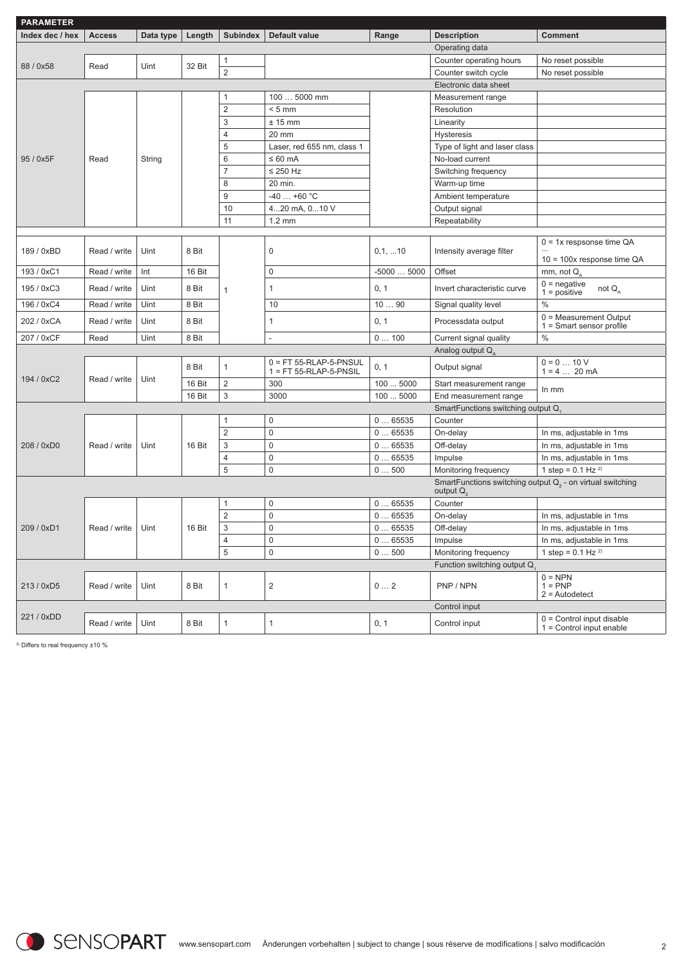| <b>PARAMETER</b> |               |           |        |                           |                                                            |             |                                                                                |                                                           |
|------------------|---------------|-----------|--------|---------------------------|------------------------------------------------------------|-------------|--------------------------------------------------------------------------------|-----------------------------------------------------------|
| Index dec / hex  | <b>Access</b> | Data type | Length | <b>Subindex</b>           | Default value                                              | Range       | <b>Description</b>                                                             | <b>Comment</b>                                            |
|                  |               |           |        |                           |                                                            |             | Operating data                                                                 |                                                           |
| 88 / 0x58        | Read          | Uint      | 32 Bit | $\mathbf{1}$              |                                                            |             | Counter operating hours                                                        | No reset possible                                         |
|                  |               |           |        | $\overline{c}$            |                                                            |             | Counter switch cycle                                                           | No reset possible                                         |
|                  |               |           |        |                           |                                                            |             | Electronic data sheet                                                          |                                                           |
|                  |               |           |        | 1                         | 100  5000 mm                                               |             | Measurement range                                                              |                                                           |
|                  |               |           |        | $\overline{2}$            | $< 5$ mm                                                   |             | Resolution                                                                     |                                                           |
|                  |               |           |        | 3                         | $± 15$ mm                                                  |             | Linearity                                                                      |                                                           |
|                  |               |           |        | $\overline{\mathbf{4}}$   | 20 mm                                                      |             | <b>Hysteresis</b>                                                              |                                                           |
|                  |               |           |        | 5                         | Laser, red 655 nm, class 1                                 |             | Type of light and laser class                                                  |                                                           |
| 95 / 0x5F        | Read          | String    |        | 6                         | $\leq 60$ mA                                               |             | No-load current                                                                |                                                           |
|                  |               |           |        | $\overline{7}$            | $\leq$ 250 Hz                                              |             | Switching frequency                                                            |                                                           |
|                  |               |           |        | 8                         | 20 min.                                                    |             | Warm-up time                                                                   |                                                           |
|                  |               |           |        | 9                         | -40  +60 °C                                                |             | Ambient temperature                                                            |                                                           |
|                  |               |           |        | 10                        | 420 mA, 010 V                                              |             | Output signal                                                                  |                                                           |
|                  |               |           |        | 11                        | $1.2 \text{ mm}$                                           |             | Repeatability                                                                  |                                                           |
|                  |               |           |        |                           |                                                            |             |                                                                                | $0 = 1x$ respsonse time QA                                |
| 189 / 0xBD       | Read / write  | Uint      | 8 Bit  |                           | 0                                                          | 0,1,10      | Intensity average filter                                                       |                                                           |
|                  |               |           |        |                           |                                                            |             |                                                                                | $10 = 100x$ response time QA                              |
| 193 / 0xC1       | Read / write  | Int       | 16 Bit |                           | $\mathbf 0$                                                | $-50005000$ | Offset                                                                         | mm, not Q,                                                |
| 195 / 0xC3       | Read / write  | Uint      | 8 Bit  | $\mathbf{1}$              | $\mathbf{1}$                                               | 0, 1        | Invert characteristic curve                                                    | $0 =$ negative<br>not $Q_{A}$<br>$1 = positive$           |
| 196 / 0xC4       | Read / write  | Uint      | 8 Bit  |                           | 10                                                         | 1090        | Signal quality level                                                           | $\%$                                                      |
| 202 / 0xCA       | Read / write  | Uint      | 8 Bit  |                           | 1                                                          | 0, 1        | Processdata output                                                             | $0 = Measurement$ Output<br>$1 =$ Smart sensor profile    |
| 207 / 0xCF       | Read          | Uint      | 8 Bit  |                           | $\overline{\phantom{a}}$                                   | 0100        | Current signal quality                                                         | $\%$                                                      |
|                  |               |           |        |                           |                                                            |             | Analog output Q                                                                |                                                           |
|                  | Read / write  |           | 8 Bit  | $\mathbf{1}$              | $0 = FT 55 - RLAP - 5 - PNSUL$<br>$1 = FT 55-RLAP-5-PNSIL$ | 0, 1        | Output signal                                                                  | $0 = 0  10 V$<br>$1 = 4$ 20 mA                            |
| 194 / 0xC2       |               | Uint      | 16 Bit | $\overline{2}$            | 300                                                        | 100  5000   | Start measurement range                                                        | In mm                                                     |
|                  |               |           | 16 Bit | 3                         | 3000                                                       | 100  5000   | End measurement range                                                          |                                                           |
|                  |               |           |        |                           |                                                            |             | SmartFunctions switching output Q.                                             |                                                           |
|                  |               |           |        | $\mathbf{1}$              | 0                                                          | 065535      | Counter                                                                        |                                                           |
|                  |               |           |        | $\mathbf{2}$              | $\mathbf 0$                                                | 065535      | On-delay                                                                       | In ms, adjustable in 1ms                                  |
| 208 / 0xD0       | Read / write  | Uint      | 16 Bit | $\ensuremath{\mathsf{3}}$ | $\mathbf 0$                                                | 065535      | Off-delay                                                                      | In ms, adjustable in 1ms                                  |
|                  |               |           |        | 4                         | $\bf 0$                                                    | 065535      | Impulse                                                                        | In ms, adjustable in 1ms                                  |
|                  |               |           |        | 5                         | $\mathbf{0}$                                               | 0500        | Monitoring frequency                                                           | 1 step = $0.1$ Hz $^{2}$                                  |
|                  |               |           |        |                           |                                                            |             | SmartFunctions switching output $Q_2$ - on virtual switching<br>output $Q_{2}$ |                                                           |
|                  |               |           |        | 1                         | $\bf 0$                                                    | 065535      | Counter                                                                        |                                                           |
|                  |               |           |        | $\mathbf{2}$              | $\mathbf 0$                                                | 065535      | On-delay                                                                       | In ms, adjustable in 1ms                                  |
| 209 / 0xD1       | Read / write  | Uint      | 16 Bit | $\sqrt{3}$                | $\Omega$                                                   | 065535      | Off-delay                                                                      | In ms, adjustable in 1ms                                  |
|                  |               |           |        | 4                         | 0                                                          | 065535      | Impulse                                                                        | In ms, adjustable in 1ms                                  |
|                  |               |           |        | 5                         | 0                                                          | 0500        | Monitoring frequency                                                           | 1 step = $0.1$ Hz $^{2}$                                  |
|                  |               |           |        |                           |                                                            |             | Function switching output Q                                                    |                                                           |
| 213 / 0xD5       | Read / write  | Uint      | 8 Bit  | $\mathbf{1}$              | $\overline{2}$                                             | 02          | PNP / NPN                                                                      | $0 = NPN$<br>$1 = PNP$<br>$2 =$ Autodetect                |
|                  |               |           |        |                           |                                                            |             | Control input                                                                  |                                                           |
| 221 / 0xDD       | Read / write  | Uint      | 8 Bit  | $\mathbf{1}$              | $\mathbf{1}$                                               | 0, 1        | Control input                                                                  | $0 =$ Control input disable<br>$1 =$ Control input enable |

2) Differs to real frequency ±10 %